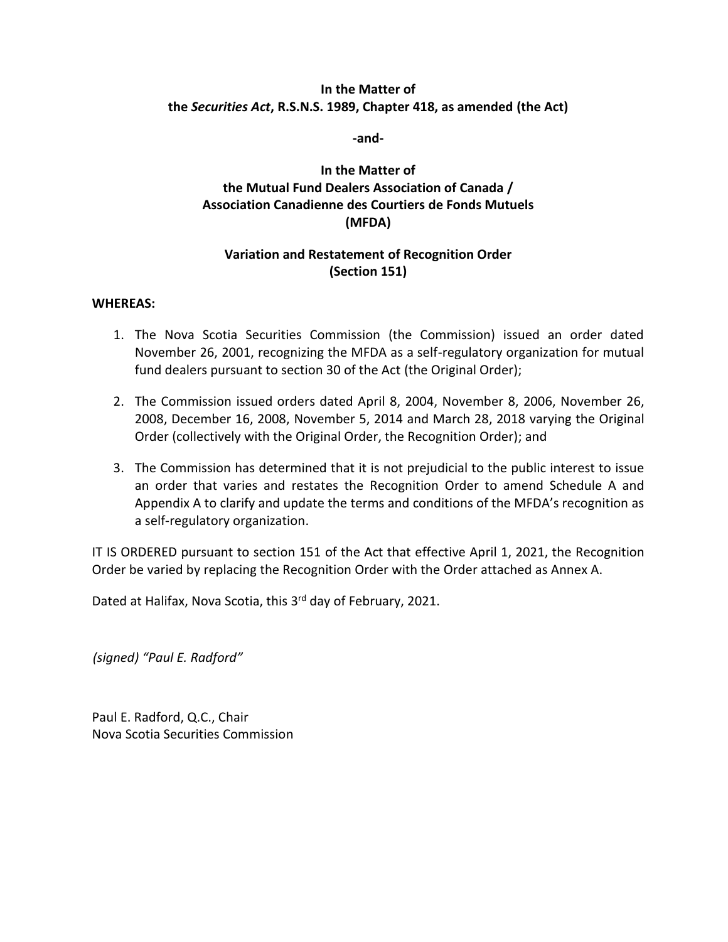### **In the Matter of the** *Securities Act***, R.S.N.S. 1989, Chapter 418, as amended (the Act)**

**-and-**

# **In the Matter of the Mutual Fund Dealers Association of Canada / Association Canadienne des Courtiers de Fonds Mutuels (MFDA)**

# **Variation and Restatement of Recognition Order (Section 151)**

#### **WHEREAS:**

- 1. The Nova Scotia Securities Commission (the Commission) issued an order dated November 26, 2001, recognizing the MFDA as a self-regulatory organization for mutual fund dealers pursuant to section 30 of the Act (the Original Order);
- 2. The Commission issued orders dated April 8, 2004, November 8, 2006, November 26, 2008, December 16, 2008, November 5, 2014 and March 28, 2018 varying the Original Order (collectively with the Original Order, the Recognition Order); and
- 3. The Commission has determined that it is not prejudicial to the public interest to issue an order that varies and restates the Recognition Order to amend Schedule A and Appendix A to clarify and update the terms and conditions of the MFDA's recognition as a self-regulatory organization.

IT IS ORDERED pursuant to section 151 of the Act that effective April 1, 2021, the Recognition Order be varied by replacing the Recognition Order with the Order attached as Annex A.

Dated at Halifax, Nova Scotia, this 3<sup>rd</sup> day of February, 2021.

*(signed) "Paul E. Radford"*

Paul E. Radford, Q.C., Chair Nova Scotia Securities Commission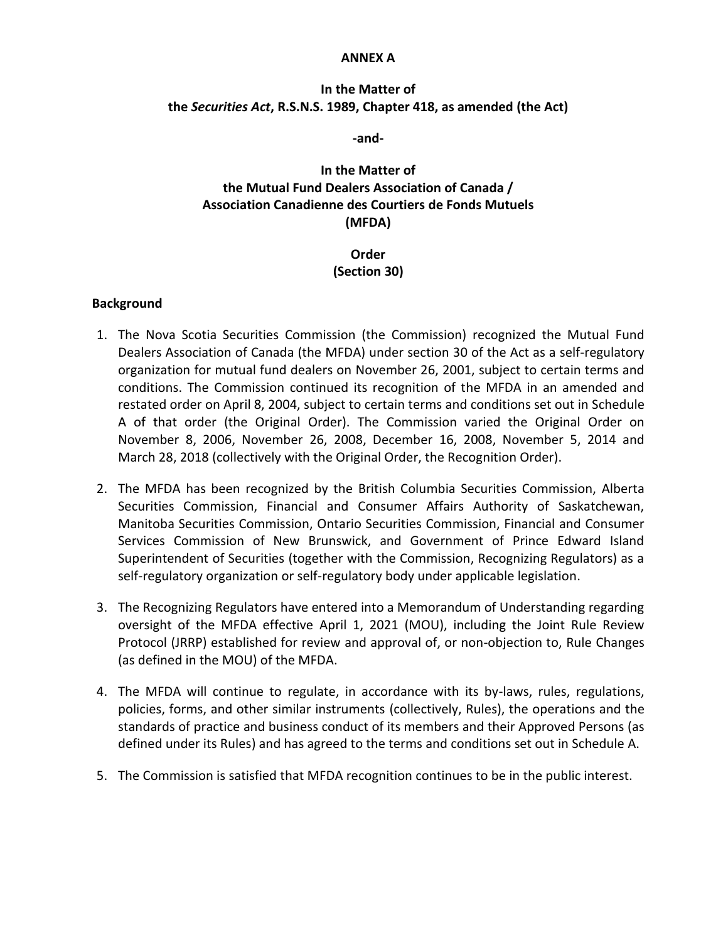#### **ANNEX A**

## **In the Matter of the** *Securities Act***, R.S.N.S. 1989, Chapter 418, as amended (the Act)**

**-and-**

# **In the Matter of the Mutual Fund Dealers Association of Canada / Association Canadienne des Courtiers de Fonds Mutuels (MFDA)**

## **Order (Section 30)**

#### **Background**

- 1. The Nova Scotia Securities Commission (the Commission) recognized the Mutual Fund Dealers Association of Canada (the MFDA) under section 30 of the Act as a self-regulatory organization for mutual fund dealers on November 26, 2001, subject to certain terms and conditions. The Commission continued its recognition of the MFDA in an amended and restated order on April 8, 2004, subject to certain terms and conditions set out in Schedule A of that order (the Original Order). The Commission varied the Original Order on November 8, 2006, November 26, 2008, December 16, 2008, November 5, 2014 and March 28, 2018 (collectively with the Original Order, the Recognition Order).
- 2. The MFDA has been recognized by the British Columbia Securities Commission, Alberta Securities Commission, Financial and Consumer Affairs Authority of Saskatchewan, Manitoba Securities Commission, Ontario Securities Commission, Financial and Consumer Services Commission of New Brunswick, and Government of Prince Edward Island Superintendent of Securities (together with the Commission, Recognizing Regulators) as a self-regulatory organization or self-regulatory body under applicable legislation.
- 3. The Recognizing Regulators have entered into a Memorandum of Understanding regarding oversight of the MFDA effective April 1, 2021 (MOU), including the Joint Rule Review Protocol (JRRP) established for review and approval of, or non-objection to, Rule Changes (as defined in the MOU) of the MFDA.
- 4. The MFDA will continue to regulate, in accordance with its by-laws, rules, regulations, policies, forms, and other similar instruments (collectively, Rules), the operations and the standards of practice and business conduct of its members and their Approved Persons (as defined under its Rules) and has agreed to the terms and conditions set out in Schedule A.
- 5. The Commission is satisfied that MFDA recognition continues to be in the public interest.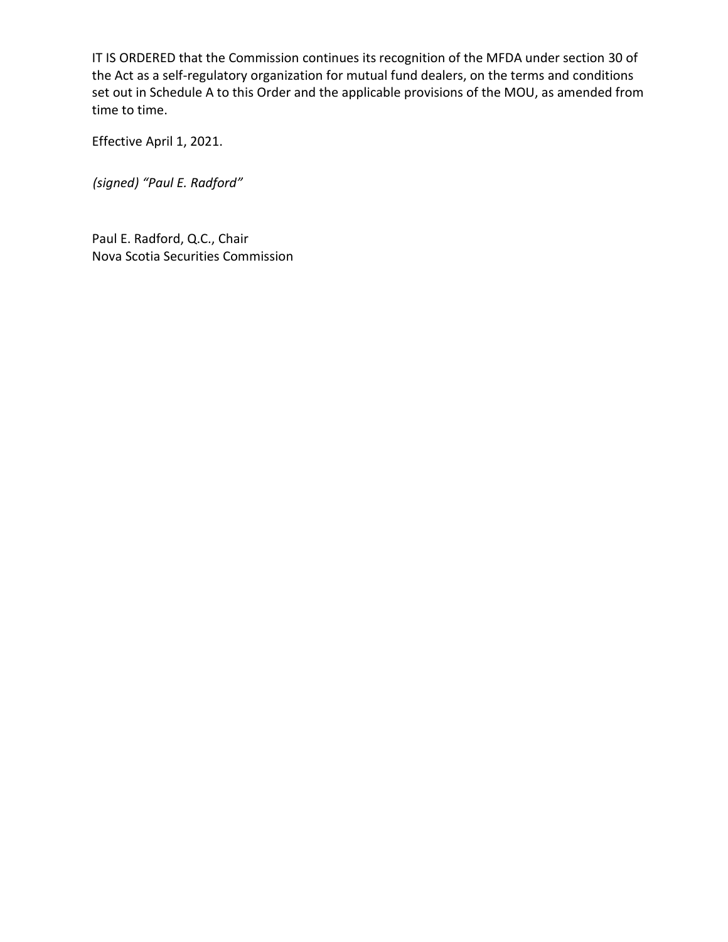IT IS ORDERED that the Commission continues its recognition of the MFDA under section 30 of the Act as a self-regulatory organization for mutual fund dealers, on the terms and conditions set out in Schedule A to this Order and the applicable provisions of the MOU, as amended from time to time.

Effective April 1, 2021.

*(signed) "Paul E. Radford"*

Paul E. Radford, Q.C., Chair Nova Scotia Securities Commission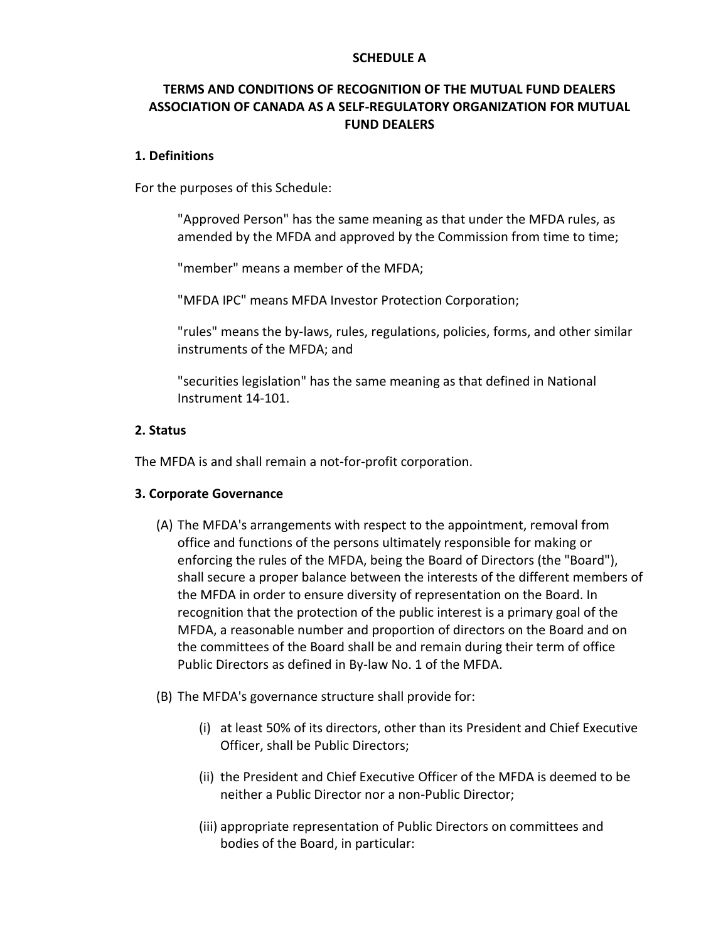#### **SCHEDULE A**

# **TERMS AND CONDITIONS OF RECOGNITION OF THE MUTUAL FUND DEALERS ASSOCIATION OF CANADA AS A SELF-REGULATORY ORGANIZATION FOR MUTUAL FUND DEALERS**

#### **1. Definitions**

For the purposes of this Schedule:

"Approved Person" has the same meaning as that under the MFDA rules, as amended by the MFDA and approved by the Commission from time to time;

"member" means a member of the MFDA;

"MFDA IPC" means MFDA Investor Protection Corporation;

"rules" means the by-laws, rules, regulations, policies, forms, and other similar instruments of the MFDA; and

"securities legislation" has the same meaning as that defined in National Instrument 14-101.

#### **2. Status**

The MFDA is and shall remain a not-for-profit corporation.

### **3. Corporate Governance**

- (A) The MFDA's arrangements with respect to the appointment, removal from office and functions of the persons ultimately responsible for making or enforcing the rules of the MFDA, being the Board of Directors (the "Board"), shall secure a proper balance between the interests of the different members of the MFDA in order to ensure diversity of representation on the Board. In recognition that the protection of the public interest is a primary goal of the MFDA, a reasonable number and proportion of directors on the Board and on the committees of the Board shall be and remain during their term of office Public Directors as defined in By-law No. 1 of the MFDA.
- (B) The MFDA's governance structure shall provide for:
	- (i) at least 50% of its directors, other than its President and Chief Executive Officer, shall be Public Directors;
	- (ii) the President and Chief Executive Officer of the MFDA is deemed to be neither a Public Director nor a non-Public Director;
	- (iii) appropriate representation of Public Directors on committees and bodies of the Board, in particular: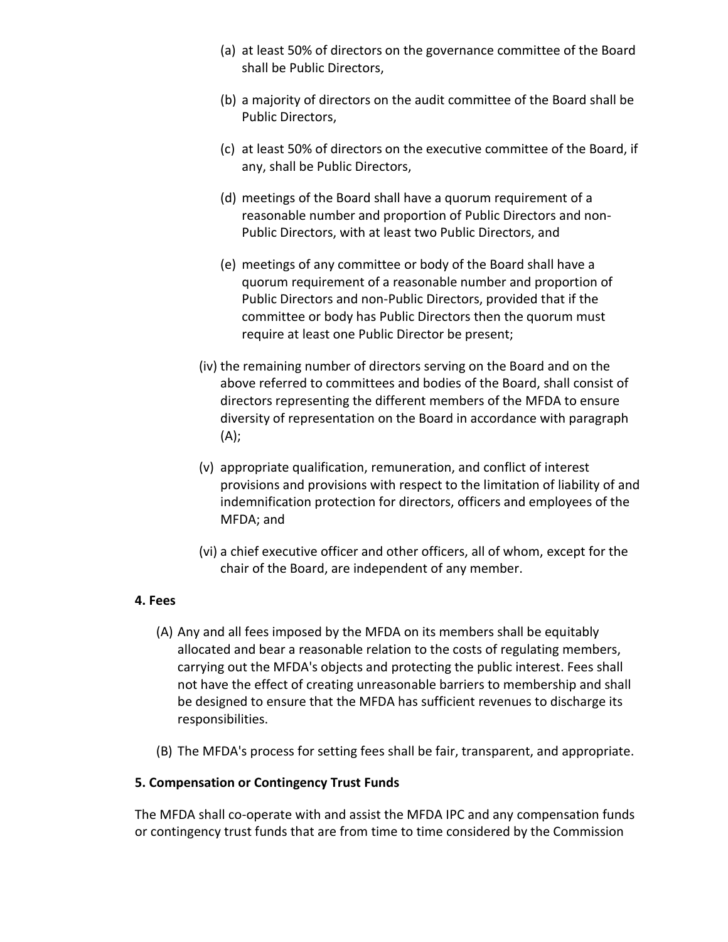- (a) at least 50% of directors on the governance committee of the Board shall be Public Directors,
- (b) a majority of directors on the audit committee of the Board shall be Public Directors,
- (c) at least 50% of directors on the executive committee of the Board, if any, shall be Public Directors,
- (d) meetings of the Board shall have a quorum requirement of a reasonable number and proportion of Public Directors and non-Public Directors, with at least two Public Directors, and
- (e) meetings of any committee or body of the Board shall have a quorum requirement of a reasonable number and proportion of Public Directors and non-Public Directors, provided that if the committee or body has Public Directors then the quorum must require at least one Public Director be present;
- (iv) the remaining number of directors serving on the Board and on the above referred to committees and bodies of the Board, shall consist of directors representing the different members of the MFDA to ensure diversity of representation on the Board in accordance with paragraph (A);
- (v) appropriate qualification, remuneration, and conflict of interest provisions and provisions with respect to the limitation of liability of and indemnification protection for directors, officers and employees of the MFDA; and
- (vi) a chief executive officer and other officers, all of whom, except for the chair of the Board, are independent of any member.

## **4. Fees**

- (A) Any and all fees imposed by the MFDA on its members shall be equitably allocated and bear a reasonable relation to the costs of regulating members, carrying out the MFDA's objects and protecting the public interest. Fees shall not have the effect of creating unreasonable barriers to membership and shall be designed to ensure that the MFDA has sufficient revenues to discharge its responsibilities.
- (B) The MFDA's process for setting fees shall be fair, transparent, and appropriate.

# **5. Compensation or Contingency Trust Funds**

The MFDA shall co-operate with and assist the MFDA IPC and any compensation funds or contingency trust funds that are from time to time considered by the Commission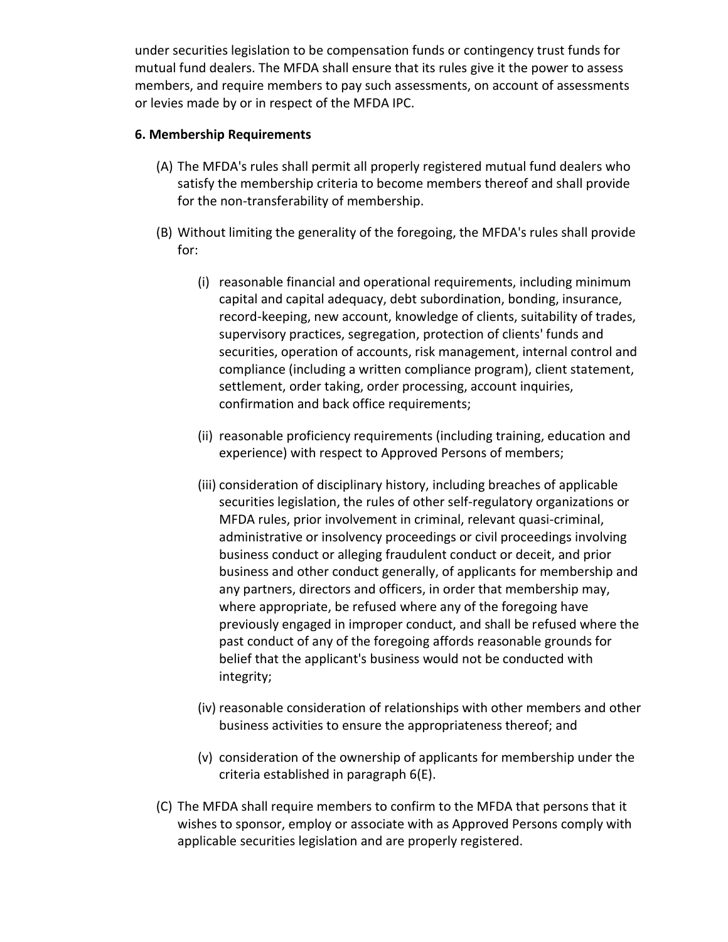under securities legislation to be compensation funds or contingency trust funds for mutual fund dealers. The MFDA shall ensure that its rules give it the power to assess members, and require members to pay such assessments, on account of assessments or levies made by or in respect of the MFDA IPC.

### **6. Membership Requirements**

- (A) The MFDA's rules shall permit all properly registered mutual fund dealers who satisfy the membership criteria to become members thereof and shall provide for the non-transferability of membership.
- (B) Without limiting the generality of the foregoing, the MFDA's rules shall provide for:
	- (i) reasonable financial and operational requirements, including minimum capital and capital adequacy, debt subordination, bonding, insurance, record-keeping, new account, knowledge of clients, suitability of trades, supervisory practices, segregation, protection of clients' funds and securities, operation of accounts, risk management, internal control and compliance (including a written compliance program), client statement, settlement, order taking, order processing, account inquiries, confirmation and back office requirements;
	- (ii) reasonable proficiency requirements (including training, education and experience) with respect to Approved Persons of members;
	- (iii) consideration of disciplinary history, including breaches of applicable securities legislation, the rules of other self-regulatory organizations or MFDA rules, prior involvement in criminal, relevant quasi-criminal, administrative or insolvency proceedings or civil proceedings involving business conduct or alleging fraudulent conduct or deceit, and prior business and other conduct generally, of applicants for membership and any partners, directors and officers, in order that membership may, where appropriate, be refused where any of the foregoing have previously engaged in improper conduct, and shall be refused where the past conduct of any of the foregoing affords reasonable grounds for belief that the applicant's business would not be conducted with integrity;
	- (iv) reasonable consideration of relationships with other members and other business activities to ensure the appropriateness thereof; and
	- (v) consideration of the ownership of applicants for membership under the criteria established in paragraph 6(E).
- (C) The MFDA shall require members to confirm to the MFDA that persons that it wishes to sponsor, employ or associate with as Approved Persons comply with applicable securities legislation and are properly registered.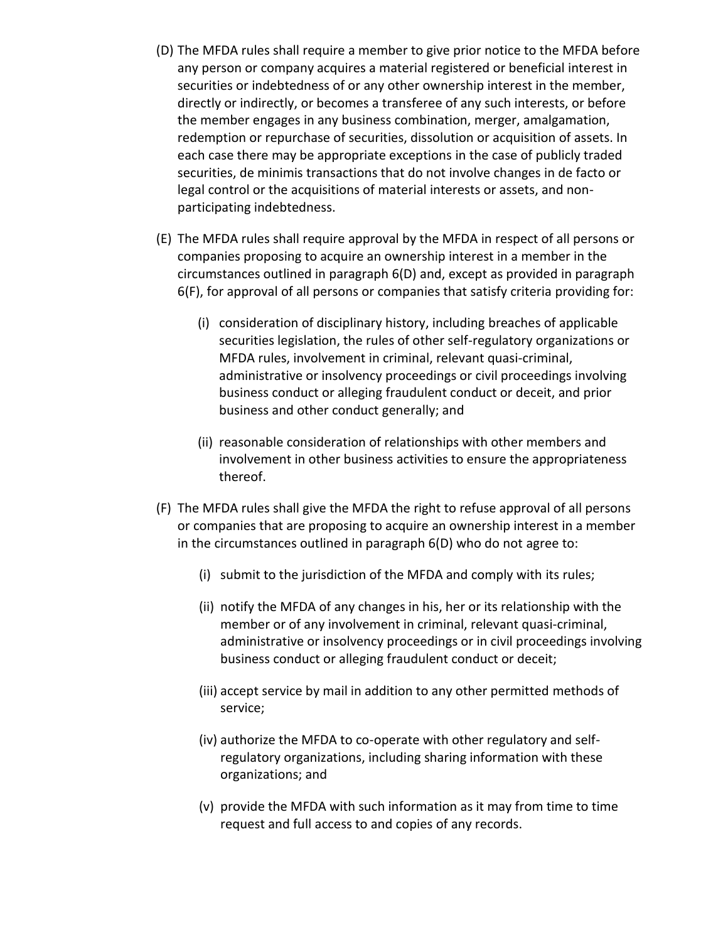- (D) The MFDA rules shall require a member to give prior notice to the MFDA before any person or company acquires a material registered or beneficial interest in securities or indebtedness of or any other ownership interest in the member, directly or indirectly, or becomes a transferee of any such interests, or before the member engages in any business combination, merger, amalgamation, redemption or repurchase of securities, dissolution or acquisition of assets. In each case there may be appropriate exceptions in the case of publicly traded securities, de minimis transactions that do not involve changes in de facto or legal control or the acquisitions of material interests or assets, and nonparticipating indebtedness.
- (E) The MFDA rules shall require approval by the MFDA in respect of all persons or companies proposing to acquire an ownership interest in a member in the circumstances outlined in paragraph 6(D) and, except as provided in paragraph 6(F), for approval of all persons or companies that satisfy criteria providing for:
	- (i) consideration of disciplinary history, including breaches of applicable securities legislation, the rules of other self-regulatory organizations or MFDA rules, involvement in criminal, relevant quasi-criminal, administrative or insolvency proceedings or civil proceedings involving business conduct or alleging fraudulent conduct or deceit, and prior business and other conduct generally; and
	- (ii) reasonable consideration of relationships with other members and involvement in other business activities to ensure the appropriateness thereof.
- (F) The MFDA rules shall give the MFDA the right to refuse approval of all persons or companies that are proposing to acquire an ownership interest in a member in the circumstances outlined in paragraph 6(D) who do not agree to:
	- (i) submit to the jurisdiction of the MFDA and comply with its rules;
	- (ii) notify the MFDA of any changes in his, her or its relationship with the member or of any involvement in criminal, relevant quasi-criminal, administrative or insolvency proceedings or in civil proceedings involving business conduct or alleging fraudulent conduct or deceit;
	- (iii) accept service by mail in addition to any other permitted methods of service;
	- (iv) authorize the MFDA to co-operate with other regulatory and selfregulatory organizations, including sharing information with these organizations; and
	- (v) provide the MFDA with such information as it may from time to time request and full access to and copies of any records.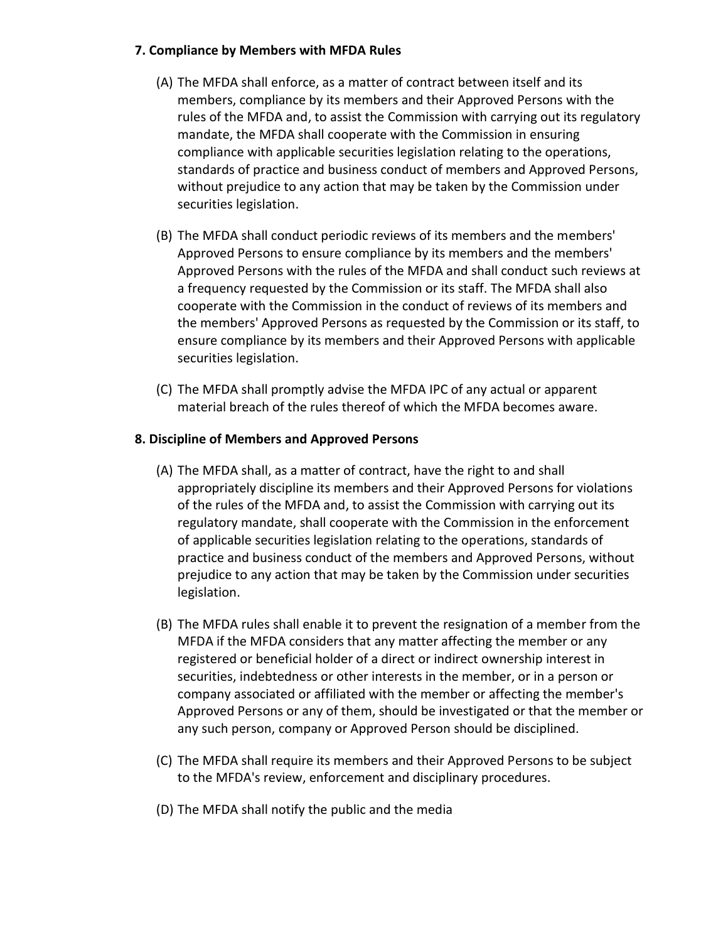### **7. Compliance by Members with MFDA Rules**

- (A) The MFDA shall enforce, as a matter of contract between itself and its members, compliance by its members and their Approved Persons with the rules of the MFDA and, to assist the Commission with carrying out its regulatory mandate, the MFDA shall cooperate with the Commission in ensuring compliance with applicable securities legislation relating to the operations, standards of practice and business conduct of members and Approved Persons, without prejudice to any action that may be taken by the Commission under securities legislation.
- (B) The MFDA shall conduct periodic reviews of its members and the members' Approved Persons to ensure compliance by its members and the members' Approved Persons with the rules of the MFDA and shall conduct such reviews at a frequency requested by the Commission or its staff. The MFDA shall also cooperate with the Commission in the conduct of reviews of its members and the members' Approved Persons as requested by the Commission or its staff, to ensure compliance by its members and their Approved Persons with applicable securities legislation.
- (C) The MFDA shall promptly advise the MFDA IPC of any actual or apparent material breach of the rules thereof of which the MFDA becomes aware.

## **8. Discipline of Members and Approved Persons**

- (A) The MFDA shall, as a matter of contract, have the right to and shall appropriately discipline its members and their Approved Persons for violations of the rules of the MFDA and, to assist the Commission with carrying out its regulatory mandate, shall cooperate with the Commission in the enforcement of applicable securities legislation relating to the operations, standards of practice and business conduct of the members and Approved Persons, without prejudice to any action that may be taken by the Commission under securities legislation.
- (B) The MFDA rules shall enable it to prevent the resignation of a member from the MFDA if the MFDA considers that any matter affecting the member or any registered or beneficial holder of a direct or indirect ownership interest in securities, indebtedness or other interests in the member, or in a person or company associated or affiliated with the member or affecting the member's Approved Persons or any of them, should be investigated or that the member or any such person, company or Approved Person should be disciplined.
- (C) The MFDA shall require its members and their Approved Persons to be subject to the MFDA's review, enforcement and disciplinary procedures.
- (D) The MFDA shall notify the public and the media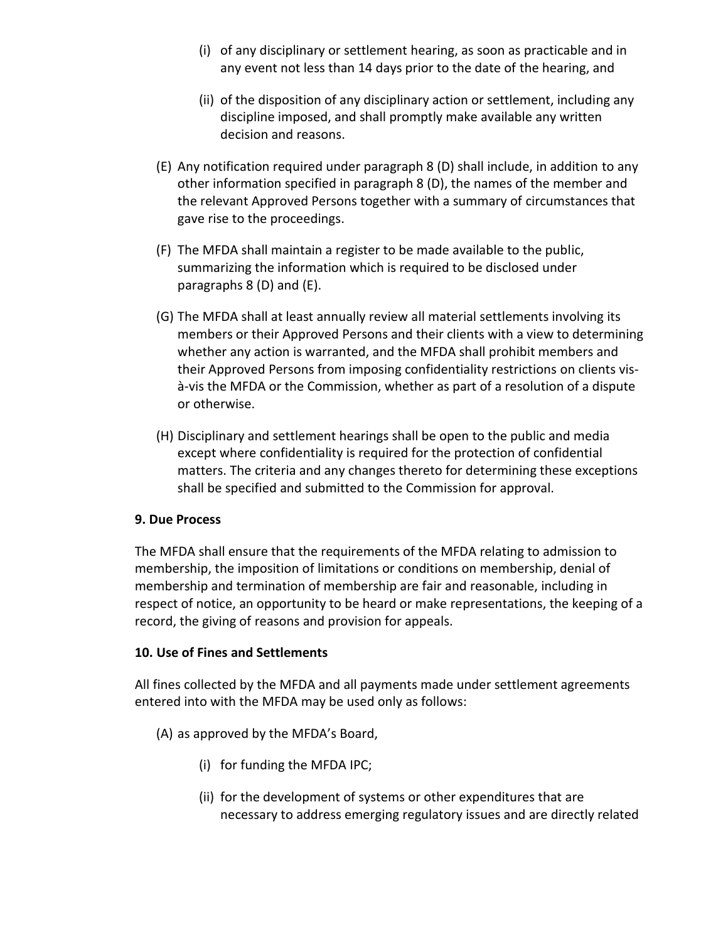- (i) of any disciplinary or settlement hearing, as soon as practicable and in any event not less than 14 days prior to the date of the hearing, and
- (ii) of the disposition of any disciplinary action or settlement, including any discipline imposed, and shall promptly make available any written decision and reasons.
- (E) Any notification required under paragraph 8 (D) shall include, in addition to any other information specified in paragraph 8 (D), the names of the member and the relevant Approved Persons together with a summary of circumstances that gave rise to the proceedings.
- (F) The MFDA shall maintain a register to be made available to the public, summarizing the information which is required to be disclosed under paragraphs 8 (D) and (E).
- (G) The MFDA shall at least annually review all material settlements involving its members or their Approved Persons and their clients with a view to determining whether any action is warranted, and the MFDA shall prohibit members and their Approved Persons from imposing confidentiality restrictions on clients visà-vis the MFDA or the Commission, whether as part of a resolution of a dispute or otherwise.
- (H) Disciplinary and settlement hearings shall be open to the public and media except where confidentiality is required for the protection of confidential matters. The criteria and any changes thereto for determining these exceptions shall be specified and submitted to the Commission for approval.

### **9. Due Process**

The MFDA shall ensure that the requirements of the MFDA relating to admission to membership, the imposition of limitations or conditions on membership, denial of membership and termination of membership are fair and reasonable, including in respect of notice, an opportunity to be heard or make representations, the keeping of a record, the giving of reasons and provision for appeals.

## **10. Use of Fines and Settlements**

All fines collected by the MFDA and all payments made under settlement agreements entered into with the MFDA may be used only as follows:

## (A) as approved by the MFDA's Board,

- (i) for funding the MFDA IPC;
- (ii) for the development of systems or other expenditures that are necessary to address emerging regulatory issues and are directly related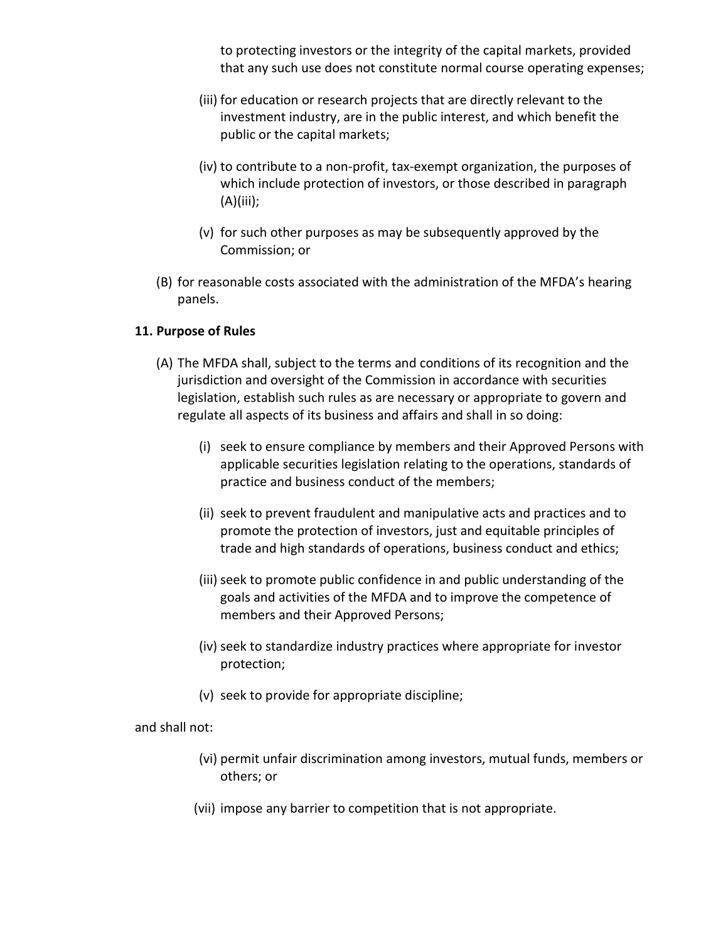to protecting investors or the integrity of the capital markets, provided that any such use does not constitute normal course operating expenses;

- (iii) for education or research projects that are directly relevant to the investment industry, are in the public interest, and which benefit the public or the capital markets;
- (iv) to contribute to a non-profit, tax-exempt organization, the purposes of which include protection of investors, or those described in paragraph (A)(iii);
- (v) for such other purposes as may be subsequently approved by the Commission; or
- (B) for reasonable costs associated with the administration of the MFDA's hearing panels.

### **11. Purpose of Rules**

- (A) The MFDA shall, subject to the terms and conditions of its recognition and the jurisdiction and oversight of the Commission in accordance with securities legislation, establish such rules as are necessary or appropriate to govern and regulate all aspects of its business and affairs and shall in so doing:
	- (i) seek to ensure compliance by members and their Approved Persons with applicable securities legislation relating to the operations, standards of practice and business conduct of the members;
	- (ii) seek to prevent fraudulent and manipulative acts and practices and to promote the protection of investors, just and equitable principles of trade and high standards of operations, business conduct and ethics;
	- (iii) seek to promote public confidence in and public understanding of the goals and activities of the MFDA and to improve the competence of members and their Approved Persons;
	- (iv) seek to standardize industry practices where appropriate for investor protection;
	- (v) seek to provide for appropriate discipline;

### and shall not:

- (vi) permit unfair discrimination among investors, mutual funds, members or others; or
- (vii) impose any barrier to competition that is not appropriate.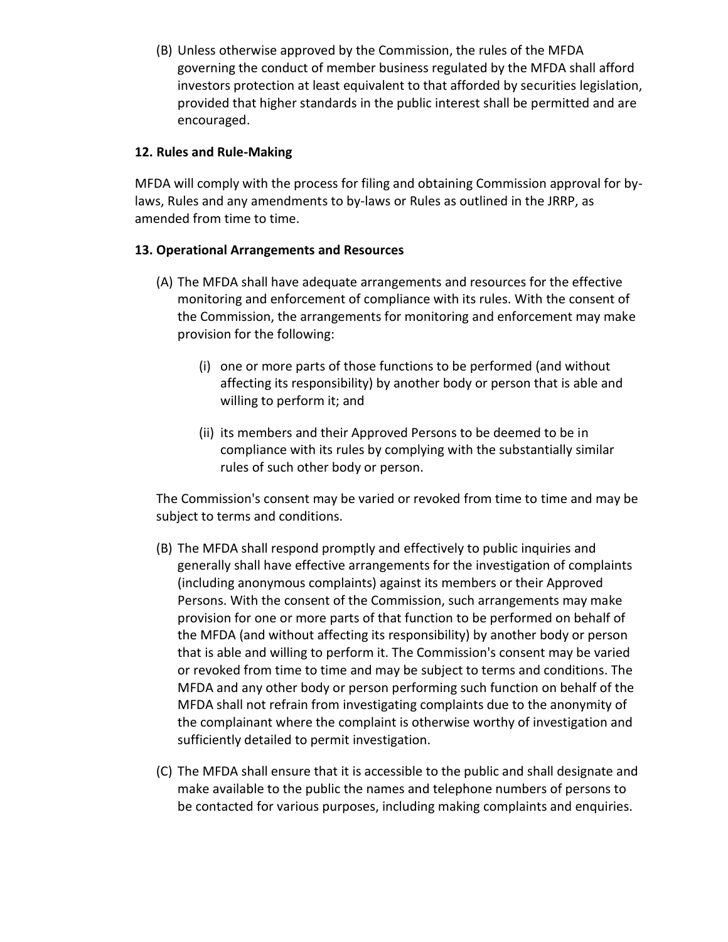(B) Unless otherwise approved by the Commission, the rules of the MFDA governing the conduct of member business regulated by the MFDA shall afford investors protection at least equivalent to that afforded by securities legislation, provided that higher standards in the public interest shall be permitted and are encouraged.

### **12. Rules and Rule-Making**

MFDA will comply with the process for filing and obtaining Commission approval for bylaws, Rules and any amendments to by-laws or Rules as outlined in the JRRP, as amended from time to time.

### **13. Operational Arrangements and Resources**

- (A) The MFDA shall have adequate arrangements and resources for the effective monitoring and enforcement of compliance with its rules. With the consent of the Commission, the arrangements for monitoring and enforcement may make provision for the following:
	- (i) one or more parts of those functions to be performed (and without affecting its responsibility) by another body or person that is able and willing to perform it; and
	- (ii) its members and their Approved Persons to be deemed to be in compliance with its rules by complying with the substantially similar rules of such other body or person.

The Commission's consent may be varied or revoked from time to time and may be subject to terms and conditions.

- (B) The MFDA shall respond promptly and effectively to public inquiries and generally shall have effective arrangements for the investigation of complaints (including anonymous complaints) against its members or their Approved Persons. With the consent of the Commission, such arrangements may make provision for one or more parts of that function to be performed on behalf of the MFDA (and without affecting its responsibility) by another body or person that is able and willing to perform it. The Commission's consent may be varied or revoked from time to time and may be subject to terms and conditions. The MFDA and any other body or person performing such function on behalf of the MFDA shall not refrain from investigating complaints due to the anonymity of the complainant where the complaint is otherwise worthy of investigation and sufficiently detailed to permit investigation.
- (C) The MFDA shall ensure that it is accessible to the public and shall designate and make available to the public the names and telephone numbers of persons to be contacted for various purposes, including making complaints and enquiries.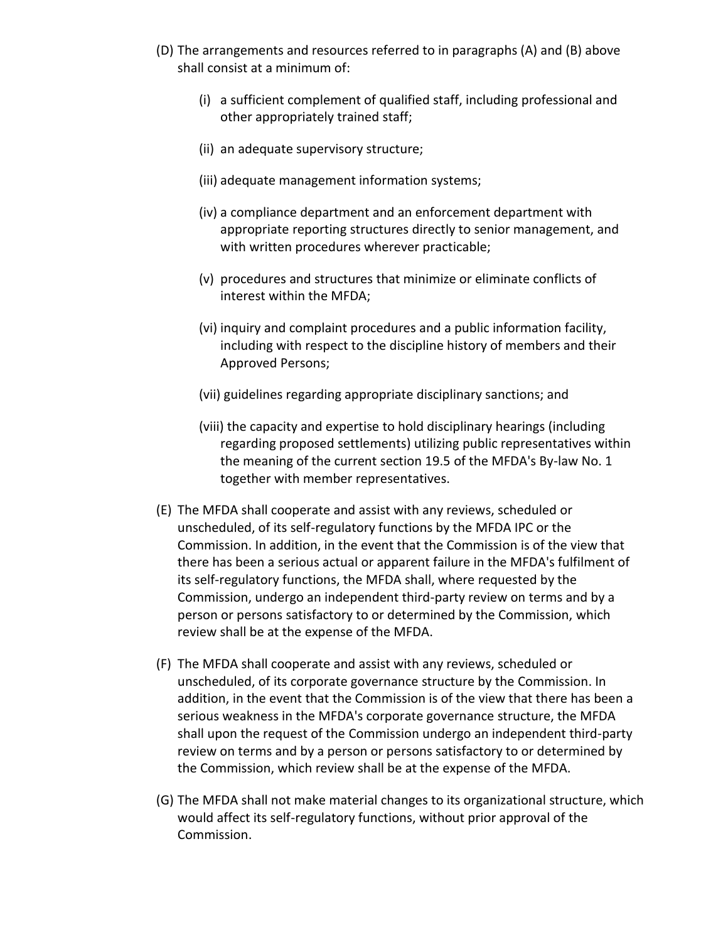- (D) The arrangements and resources referred to in paragraphs (A) and (B) above shall consist at a minimum of:
	- (i) a sufficient complement of qualified staff, including professional and other appropriately trained staff;
	- (ii) an adequate supervisory structure;
	- (iii) adequate management information systems;
	- (iv) a compliance department and an enforcement department with appropriate reporting structures directly to senior management, and with written procedures wherever practicable;
	- (v) procedures and structures that minimize or eliminate conflicts of interest within the MFDA;
	- (vi) inquiry and complaint procedures and a public information facility, including with respect to the discipline history of members and their Approved Persons;
	- (vii) guidelines regarding appropriate disciplinary sanctions; and
	- (viii) the capacity and expertise to hold disciplinary hearings (including regarding proposed settlements) utilizing public representatives within the meaning of the current section 19.5 of the MFDA's By-law No. 1 together with member representatives.
- (E) The MFDA shall cooperate and assist with any reviews, scheduled or unscheduled, of its self-regulatory functions by the MFDA IPC or the Commission. In addition, in the event that the Commission is of the view that there has been a serious actual or apparent failure in the MFDA's fulfilment of its self-regulatory functions, the MFDA shall, where requested by the Commission, undergo an independent third-party review on terms and by a person or persons satisfactory to or determined by the Commission, which review shall be at the expense of the MFDA.
- (F) The MFDA shall cooperate and assist with any reviews, scheduled or unscheduled, of its corporate governance structure by the Commission. In addition, in the event that the Commission is of the view that there has been a serious weakness in the MFDA's corporate governance structure, the MFDA shall upon the request of the Commission undergo an independent third-party review on terms and by a person or persons satisfactory to or determined by the Commission, which review shall be at the expense of the MFDA.
- (G) The MFDA shall not make material changes to its organizational structure, which would affect its self-regulatory functions, without prior approval of the Commission.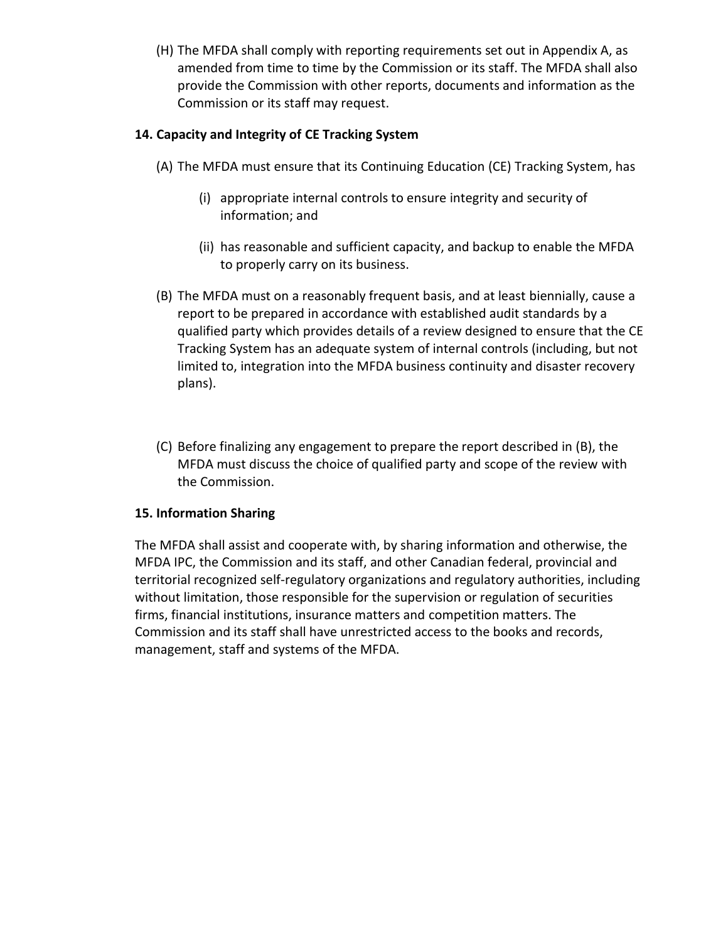(H) The MFDA shall comply with reporting requirements set out in Appendix A, as amended from time to time by the Commission or its staff. The MFDA shall also provide the Commission with other reports, documents and information as the Commission or its staff may request.

# **14. Capacity and Integrity of CE Tracking System**

- (A) The MFDA must ensure that its Continuing Education (CE) Tracking System, has
	- (i) appropriate internal controls to ensure integrity and security of information; and
	- (ii) has reasonable and sufficient capacity, and backup to enable the MFDA to properly carry on its business.
- (B) The MFDA must on a reasonably frequent basis, and at least biennially, cause a report to be prepared in accordance with established audit standards by a qualified party which provides details of a review designed to ensure that the CE Tracking System has an adequate system of internal controls (including, but not limited to, integration into the MFDA business continuity and disaster recovery plans).
- (C) Before finalizing any engagement to prepare the report described in (B), the MFDA must discuss the choice of qualified party and scope of the review with the Commission.

## **15. Information Sharing**

The MFDA shall assist and cooperate with, by sharing information and otherwise, the MFDA IPC, the Commission and its staff, and other Canadian federal, provincial and territorial recognized self-regulatory organizations and regulatory authorities, including without limitation, those responsible for the supervision or regulation of securities firms, financial institutions, insurance matters and competition matters. The Commission and its staff shall have unrestricted access to the books and records, management, staff and systems of the MFDA.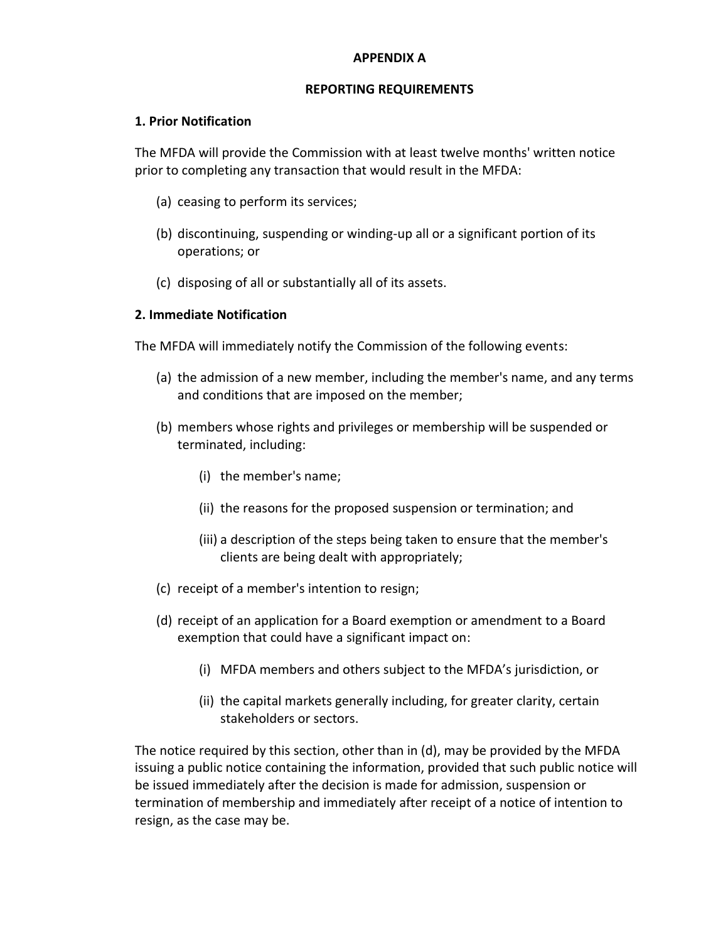#### **APPENDIX A**

#### **REPORTING REQUIREMENTS**

#### **1. Prior Notification**

The MFDA will provide the Commission with at least twelve months' written notice prior to completing any transaction that would result in the MFDA:

- (a) ceasing to perform its services;
- (b) discontinuing, suspending or winding-up all or a significant portion of its operations; or
- (c) disposing of all or substantially all of its assets.

#### **2. Immediate Notification**

The MFDA will immediately notify the Commission of the following events:

- (a) the admission of a new member, including the member's name, and any terms and conditions that are imposed on the member;
- (b) members whose rights and privileges or membership will be suspended or terminated, including:
	- (i) the member's name;
	- (ii) the reasons for the proposed suspension or termination; and
	- (iii) a description of the steps being taken to ensure that the member's clients are being dealt with appropriately;
- (c) receipt of a member's intention to resign;
- (d) receipt of an application for a Board exemption or amendment to a Board exemption that could have a significant impact on:
	- (i) MFDA members and others subject to the MFDA's jurisdiction, or
	- (ii) the capital markets generally including, for greater clarity, certain stakeholders or sectors.

The notice required by this section, other than in (d), may be provided by the MFDA issuing a public notice containing the information, provided that such public notice will be issued immediately after the decision is made for admission, suspension or termination of membership and immediately after receipt of a notice of intention to resign, as the case may be.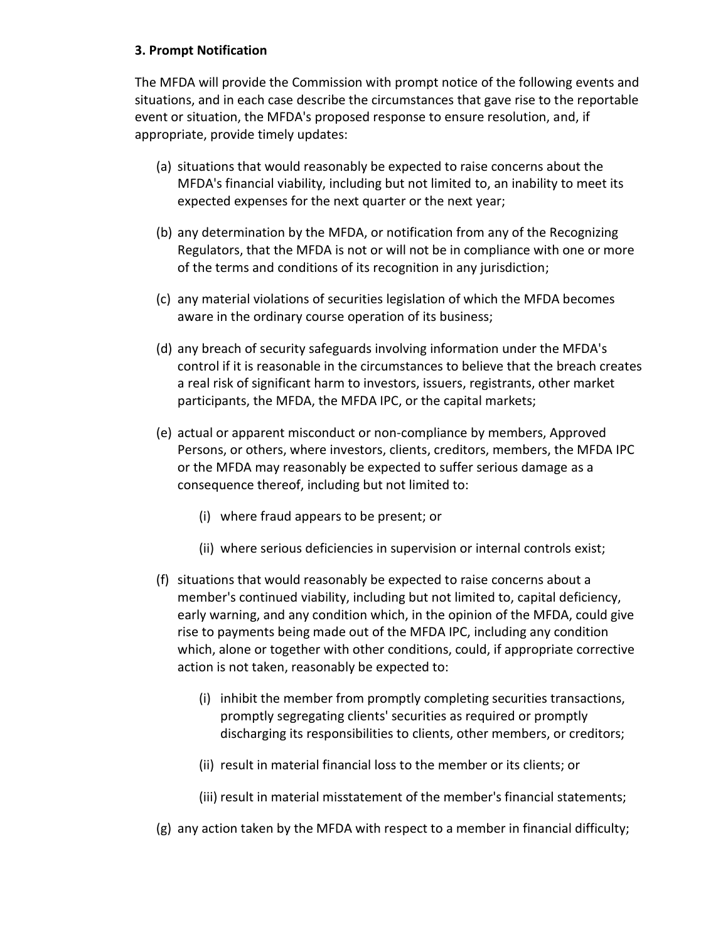### **3. Prompt Notification**

The MFDA will provide the Commission with prompt notice of the following events and situations, and in each case describe the circumstances that gave rise to the reportable event or situation, the MFDA's proposed response to ensure resolution, and, if appropriate, provide timely updates:

- (a) situations that would reasonably be expected to raise concerns about the MFDA's financial viability, including but not limited to, an inability to meet its expected expenses for the next quarter or the next year;
- (b) any determination by the MFDA, or notification from any of the Recognizing Regulators, that the MFDA is not or will not be in compliance with one or more of the terms and conditions of its recognition in any jurisdiction;
- (c) any material violations of securities legislation of which the MFDA becomes aware in the ordinary course operation of its business;
- (d) any breach of security safeguards involving information under the MFDA's control if it is reasonable in the circumstances to believe that the breach creates a real risk of significant harm to investors, issuers, registrants, other market participants, the MFDA, the MFDA IPC, or the capital markets;
- (e) actual or apparent misconduct or non-compliance by members, Approved Persons, or others, where investors, clients, creditors, members, the MFDA IPC or the MFDA may reasonably be expected to suffer serious damage as a consequence thereof, including but not limited to:
	- (i) where fraud appears to be present; or
	- (ii) where serious deficiencies in supervision or internal controls exist;
- (f) situations that would reasonably be expected to raise concerns about a member's continued viability, including but not limited to, capital deficiency, early warning, and any condition which, in the opinion of the MFDA, could give rise to payments being made out of the MFDA IPC, including any condition which, alone or together with other conditions, could, if appropriate corrective action is not taken, reasonably be expected to:
	- (i) inhibit the member from promptly completing securities transactions, promptly segregating clients' securities as required or promptly discharging its responsibilities to clients, other members, or creditors;
	- (ii) result in material financial loss to the member or its clients; or
	- (iii) result in material misstatement of the member's financial statements;
- (g) any action taken by the MFDA with respect to a member in financial difficulty;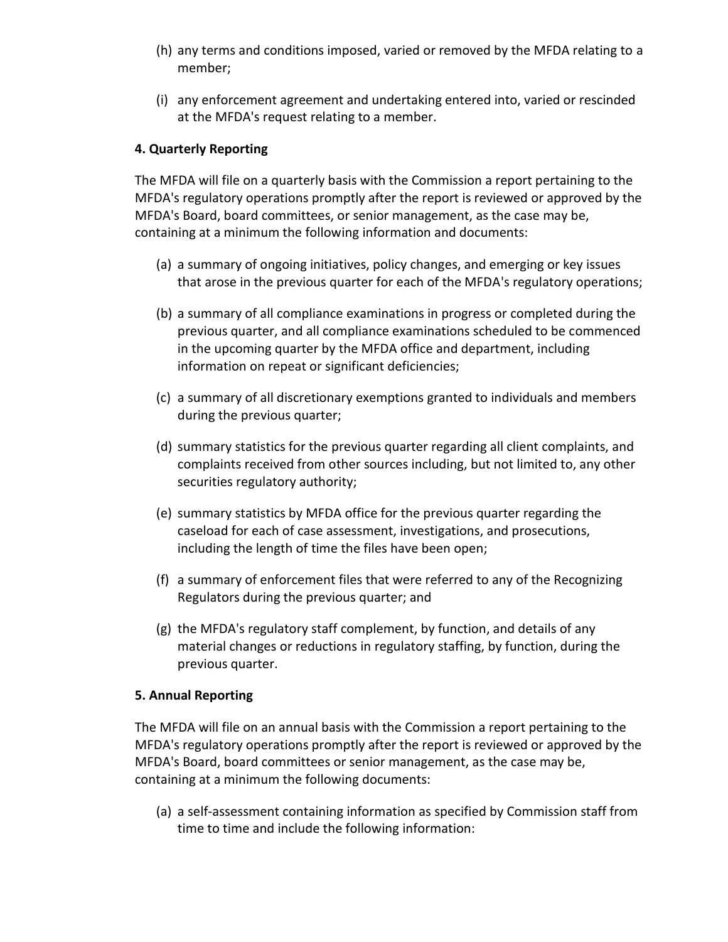- (h) any terms and conditions imposed, varied or removed by the MFDA relating to a member;
- (i) any enforcement agreement and undertaking entered into, varied or rescinded at the MFDA's request relating to a member.

### **4. Quarterly Reporting**

The MFDA will file on a quarterly basis with the Commission a report pertaining to the MFDA's regulatory operations promptly after the report is reviewed or approved by the MFDA's Board, board committees, or senior management, as the case may be, containing at a minimum the following information and documents:

- (a) a summary of ongoing initiatives, policy changes, and emerging or key issues that arose in the previous quarter for each of the MFDA's regulatory operations;
- (b) a summary of all compliance examinations in progress or completed during the previous quarter, and all compliance examinations scheduled to be commenced in the upcoming quarter by the MFDA office and department, including information on repeat or significant deficiencies;
- (c) a summary of all discretionary exemptions granted to individuals and members during the previous quarter;
- (d) summary statistics for the previous quarter regarding all client complaints, and complaints received from other sources including, but not limited to, any other securities regulatory authority;
- (e) summary statistics by MFDA office for the previous quarter regarding the caseload for each of case assessment, investigations, and prosecutions, including the length of time the files have been open;
- (f) a summary of enforcement files that were referred to any of the Recognizing Regulators during the previous quarter; and
- (g) the MFDA's regulatory staff complement, by function, and details of any material changes or reductions in regulatory staffing, by function, during the previous quarter.

### **5. Annual Reporting**

The MFDA will file on an annual basis with the Commission a report pertaining to the MFDA's regulatory operations promptly after the report is reviewed or approved by the MFDA's Board, board committees or senior management, as the case may be, containing at a minimum the following documents:

(a) a self-assessment containing information as specified by Commission staff from time to time and include the following information: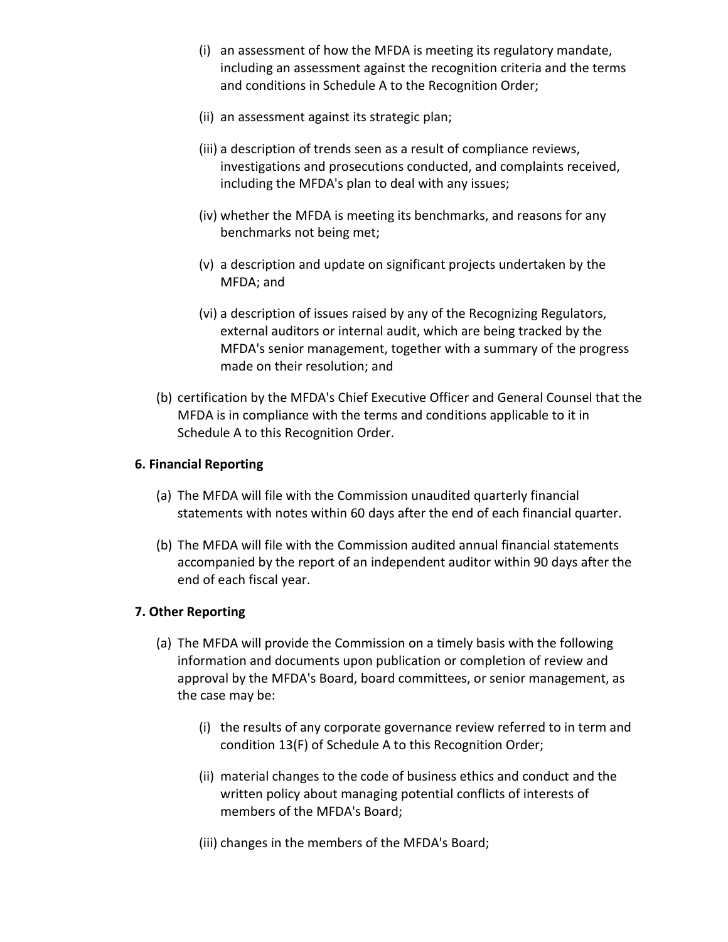- (i) an assessment of how the MFDA is meeting its regulatory mandate, including an assessment against the recognition criteria and the terms and conditions in Schedule A to the Recognition Order;
- (ii) an assessment against its strategic plan;
- (iii) a description of trends seen as a result of compliance reviews, investigations and prosecutions conducted, and complaints received, including the MFDA's plan to deal with any issues;
- (iv) whether the MFDA is meeting its benchmarks, and reasons for any benchmarks not being met;
- (v) a description and update on significant projects undertaken by the MFDA; and
- (vi) a description of issues raised by any of the Recognizing Regulators, external auditors or internal audit, which are being tracked by the MFDA's senior management, together with a summary of the progress made on their resolution; and
- (b) certification by the MFDA's Chief Executive Officer and General Counsel that the MFDA is in compliance with the terms and conditions applicable to it in Schedule A to this Recognition Order.

### **6. Financial Reporting**

- (a) The MFDA will file with the Commission unaudited quarterly financial statements with notes within 60 days after the end of each financial quarter.
- (b) The MFDA will file with the Commission audited annual financial statements accompanied by the report of an independent auditor within 90 days after the end of each fiscal year.

## **7. Other Reporting**

- (a) The MFDA will provide the Commission on a timely basis with the following information and documents upon publication or completion of review and approval by the MFDA's Board, board committees, or senior management, as the case may be:
	- (i) the results of any corporate governance review referred to in term and condition 13(F) of Schedule A to this Recognition Order;
	- (ii) material changes to the code of business ethics and conduct and the written policy about managing potential conflicts of interests of members of the MFDA's Board;
	- (iii) changes in the members of the MFDA's Board;